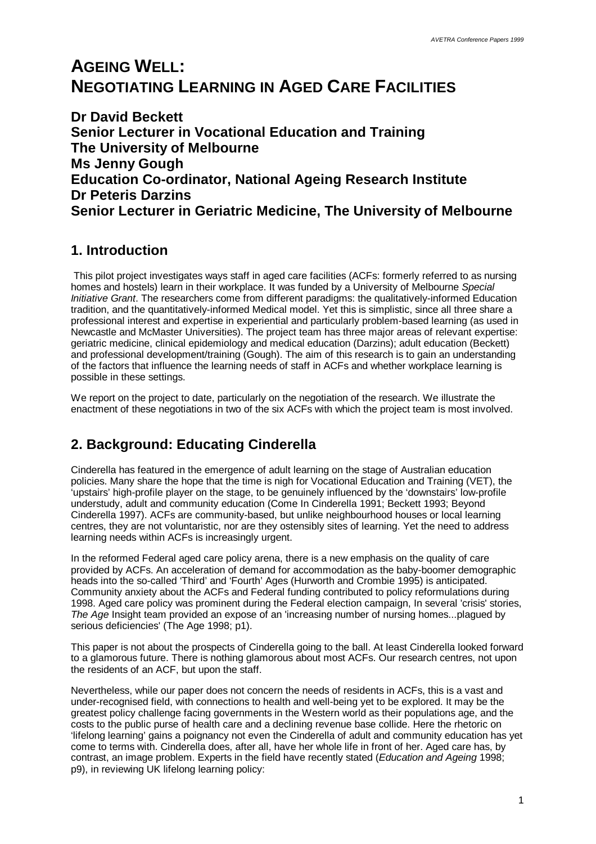# **AGEING WELL: NEGOTIATING LEARNING IN AGED CARE FACILITIES**

**Dr David Beckett Senior Lecturer in Vocational Education and Training The University of Melbourne Ms Jenny Gough Education Co-ordinator, National Ageing Research Institute Dr Peteris Darzins Senior Lecturer in Geriatric Medicine, The University of Melbourne**

## **1. Introduction**

 This pilot project investigates ways staff in aged care facilities (ACFs: formerly referred to as nursing homes and hostels) learn in their workplace. It was funded by a University of Melbourne *Special Initiative Grant*. The researchers come from different paradigms: the qualitatively-informed Education tradition, and the quantitatively-informed Medical model. Yet this is simplistic, since all three share a professional interest and expertise in experiential and particularly problem-based learning (as used in Newcastle and McMaster Universities). The project team has three major areas of relevant expertise: geriatric medicine, clinical epidemiology and medical education (Darzins); adult education (Beckett) and professional development/training (Gough). The aim of this research is to gain an understanding of the factors that influence the learning needs of staff in ACFs and whether workplace learning is possible in these settings.

We report on the project to date, particularly on the negotiation of the research. We illustrate the enactment of these negotiations in two of the six ACFs with which the project team is most involved.

## **2. Background: Educating Cinderella**

Cinderella has featured in the emergence of adult learning on the stage of Australian education policies. Many share the hope that the time is nigh for Vocational Education and Training (VET), the 'upstairs' high-profile player on the stage, to be genuinely influenced by the 'downstairs' low-profile understudy, adult and community education (Come In Cinderella 1991; Beckett 1993; Beyond Cinderella 1997). ACFs are community-based, but unlike neighbourhood houses or local learning centres, they are not voluntaristic, nor are they ostensibly sites of learning. Yet the need to address learning needs within ACFs is increasingly urgent.

In the reformed Federal aged care policy arena, there is a new emphasis on the quality of care provided by ACFs. An acceleration of demand for accommodation as the baby-boomer demographic heads into the so-called 'Third' and 'Fourth' Ages (Hurworth and Crombie 1995) is anticipated. Community anxiety about the ACFs and Federal funding contributed to policy reformulations during 1998. Aged care policy was prominent during the Federal election campaign, In several 'crisis' stories, *The Age* Insight team provided an expose of an 'increasing number of nursing homes...plagued by serious deficiencies' (The Age 1998; p1).

This paper is not about the prospects of Cinderella going to the ball. At least Cinderella looked forward to a glamorous future. There is nothing glamorous about most ACFs. Our research centres, not upon the residents of an ACF, but upon the staff.

Nevertheless, while our paper does not concern the needs of residents in ACFs, this is a vast and under-recognised field, with connections to health and well-being yet to be explored. It may be the greatest policy challenge facing governments in the Western world as their populations age, and the costs to the public purse of health care and a declining revenue base collide. Here the rhetoric on 'lifelong learning' gains a poignancy not even the Cinderella of adult and community education has yet come to terms with. Cinderella does, after all, have her whole life in front of her. Aged care has, by contrast, an image problem. Experts in the field have recently stated (*Education and Ageing* 1998; p9), in reviewing UK lifelong learning policy: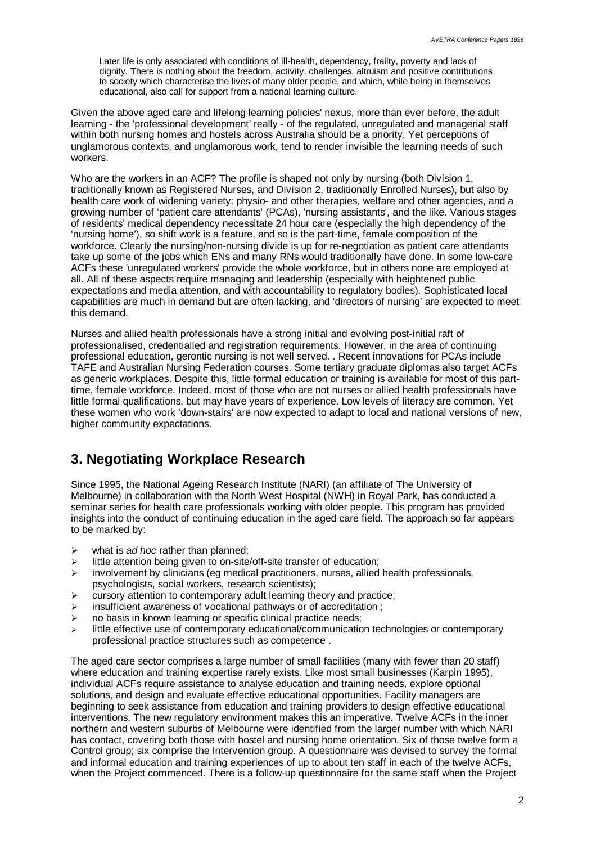Later life is only associated with conditions of ill-health, dependency, frailty, poverty and lack of dignity. There is nothing about the freedom, activity, challenges, altruism and positive contributions to society which characterise the lives of many older people, and which, while being in themselves educational, also call for support from a national learning culture.

Given the above aged care and lifelong learning policies' nexus, more than ever before, the adult learning - the 'professional development' really - of the regulated, unregulated and managerial staff within both nursing homes and hostels across Australia should be a priority. Yet perceptions of unglamorous contexts, and unglamorous work, tend to render invisible the learning needs of such workers.

Who are the workers in an ACF? The profile is shaped not only by nursing (both Division 1, traditionally known as Registered Nurses, and Division 2, traditionally Enrolled Nurses), but also by health care work of widening variety: physio- and other therapies, welfare and other agencies, and a growing number of 'patient care attendants' (PCAs), 'nursing assistants', and the like. Various stages of residents' medical dependency necessitate 24 hour care (especially the high dependency of the 'nursing home'), so shift work is a feature, and so is the part-time, female composition of the workforce. Clearly the nursing/non-nursing divide is up for re-negotiation as patient care attendants take up some of the jobs which ENs and many RNs would traditionally have done. In some low-care ACFs these 'unregulated workers' provide the whole workforce, but in others none are employed at all. All of these aspects require managing and leadership (especially with heightened public expectations and media attention, and with accountability to regulatory bodies). Sophisticated local capabilities are much in demand but are often lacking, and 'directors of nursing' are expected to meet this demand.

Nurses and allied health professionals have a strong initial and evolving post-initial raft of professionalised, credentialled and registration requirements. However, in the area of continuing professional education, gerontic nursing is not well served. . Recent innovations for PCAs include TAFE and Australian Nursing Federation courses. Some tertiary graduate diplomas also target ACFs as generic workplaces. Despite this, little formal education or training is available for most of this parttime, female workforce. Indeed, most of those who are not nurses or allied health professionals have little formal qualifications, but may have years of experience. Low levels of literacy are common. Yet these women who work 'down-stairs' are now expected to adapt to local and national versions of new, higher community expectations.

## **3. Negotiating Workplace Research**

Since 1995, the National Ageing Research Institute (NARI) (an affiliate of The University of Melbourne) in collaboration with the North West Hospital (NWH) in Royal Park, has conducted a seminar series for health care professionals working with older people. This program has provided insights into the conduct of continuing education in the aged care field. The approach so far appears to be marked by:

- ÿ what is *ad hoc* rather than planned;
- $\geq$  little attention being given to on-site/off-site transfer of education;
- $\geq$  involvement by clinicians (eg medical practitioners, nurses, allied health professionals, psychologists, social workers, research scientists);
- $\triangleright$  cursory attention to contemporary adult learning theory and practice;
- $\triangleright$  insufficient awareness of vocational pathways or of accreditation;
- $\triangleright$  no basis in known learning or specific clinical practice needs;
- little effective use of contemporary educational/communication technologies or contemporary professional practice structures such as competence .

The aged care sector comprises a large number of small facilities (many with fewer than 20 staff) where education and training expertise rarely exists. Like most small businesses (Karpin 1995), individual ACFs require assistance to analyse education and training needs, explore optional solutions, and design and evaluate effective educational opportunities. Facility managers are beginning to seek assistance from education and training providers to design effective educational interventions. The new regulatory environment makes this an imperative. Twelve ACFs in the inner northern and western suburbs of Melbourne were identified from the larger number with which NARI has contact, covering both those with hostel and nursing home orientation. Six of those twelve form a Control group; six comprise the Intervention group. A questionnaire was devised to survey the formal and informal education and training experiences of up to about ten staff in each of the twelve ACFs, when the Project commenced. There is a follow-up questionnaire for the same staff when the Project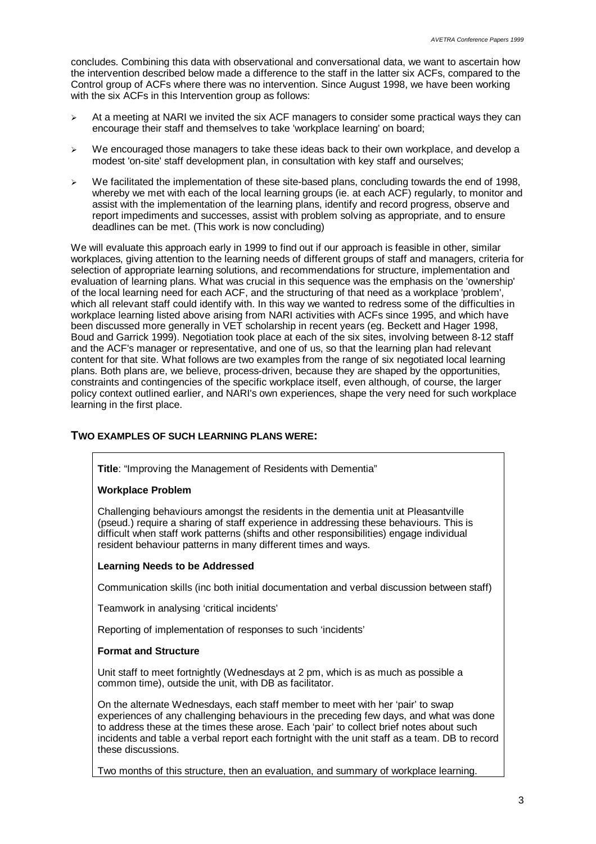concludes. Combining this data with observational and conversational data, we want to ascertain how the intervention described below made a difference to the staff in the latter six ACFs, compared to the Control group of ACFs where there was no intervention. Since August 1998, we have been working with the six ACFs in this Intervention group as follows:

- $\geq$  At a meeting at NARI we invited the six ACF managers to consider some practical ways they can encourage their staff and themselves to take 'workplace learning' on board;
- $\triangleright$  We encouraged those managers to take these ideas back to their own workplace, and develop a modest 'on-site' staff development plan, in consultation with key staff and ourselves;
- $\triangleright$  We facilitated the implementation of these site-based plans, concluding towards the end of 1998, whereby we met with each of the local learning groups (ie. at each ACF) regularly, to monitor and assist with the implementation of the learning plans, identify and record progress, observe and report impediments and successes, assist with problem solving as appropriate, and to ensure deadlines can be met. (This work is now concluding)

We will evaluate this approach early in 1999 to find out if our approach is feasible in other, similar workplaces, giving attention to the learning needs of different groups of staff and managers, criteria for selection of appropriate learning solutions, and recommendations for structure, implementation and evaluation of learning plans. What was crucial in this sequence was the emphasis on the 'ownership' of the local learning need for each ACF, and the structuring of that need as a workplace 'problem', which all relevant staff could identify with. In this way we wanted to redress some of the difficulties in workplace learning listed above arising from NARI activities with ACFs since 1995, and which have been discussed more generally in VET scholarship in recent years (eg. Beckett and Hager 1998, Boud and Garrick 1999). Negotiation took place at each of the six sites, involving between 8-12 staff and the ACF's manager or representative, and one of us, so that the learning plan had relevant content for that site. What follows are two examples from the range of six negotiated local learning plans. Both plans are, we believe, process-driven, because they are shaped by the opportunities, constraints and contingencies of the specific workplace itself, even although, of course, the larger policy context outlined earlier, and NARI's own experiences, shape the very need for such workplace learning in the first place.

#### **TWO EXAMPLES OF SUCH LEARNING PLANS WERE:**

**Title**: "Improving the Management of Residents with Dementia"

#### **Workplace Problem**

Challenging behaviours amongst the residents in the dementia unit at Pleasantville (pseud.) require a sharing of staff experience in addressing these behaviours. This is difficult when staff work patterns (shifts and other responsibilities) engage individual resident behaviour patterns in many different times and ways.

#### **Learning Needs to be Addressed**

Communication skills (inc both initial documentation and verbal discussion between staff)

Teamwork in analysing 'critical incidents'

Reporting of implementation of responses to such 'incidents'

#### **Format and Structure**

Unit staff to meet fortnightly (Wednesdays at 2 pm, which is as much as possible a common time), outside the unit, with DB as facilitator.

On the alternate Wednesdays, each staff member to meet with her 'pair' to swap experiences of any challenging behaviours in the preceding few days, and what was done to address these at the times these arose. Each 'pair' to collect brief notes about such incidents and table a verbal report each fortnight with the unit staff as a team. DB to record these discussions.

Two months of this structure, then an evaluation, and summary of workplace learning.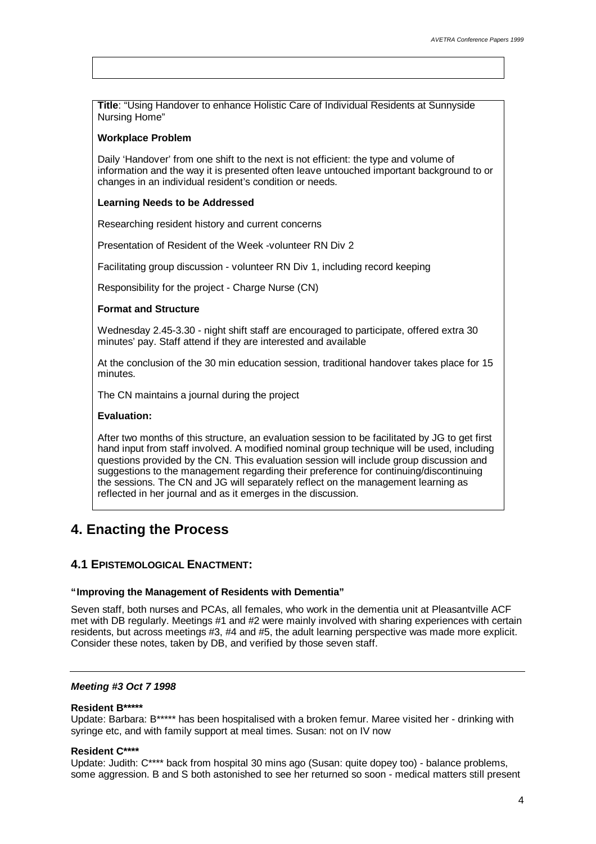**Title**: "Using Handover to enhance Holistic Care of Individual Residents at Sunnyside Nursing Home"

#### **Workplace Problem**

Daily 'Handover' from one shift to the next is not efficient: the type and volume of information and the way it is presented often leave untouched important background to or changes in an individual resident's condition or needs.

### **Learning Needs to be Addressed**

Researching resident history and current concerns

Presentation of Resident of the Week -volunteer RN Div 2

Facilitating group discussion - volunteer RN Div 1, including record keeping

Responsibility for the project - Charge Nurse (CN)

#### **Format and Structure**

Wednesday 2.45-3.30 - night shift staff are encouraged to participate, offered extra 30 minutes' pay. Staff attend if they are interested and available

At the conclusion of the 30 min education session, traditional handover takes place for 15 minutes.

The CN maintains a journal during the project

#### **Evaluation:**

After two months of this structure, an evaluation session to be facilitated by JG to get first hand input from staff involved. A modified nominal group technique will be used, including questions provided by the CN. This evaluation session will include group discussion and suggestions to the management regarding their preference for continuing/discontinuing the sessions. The CN and JG will separately reflect on the management learning as reflected in her journal and as it emerges in the discussion.

## **4. Enacting the Process**

## **4.1 EPISTEMOLOGICAL ENACTMENT:**

#### **"Improving the Management of Residents with Dementia"**

Seven staff, both nurses and PCAs, all females, who work in the dementia unit at Pleasantville ACF met with DB regularly. Meetings #1 and #2 were mainly involved with sharing experiences with certain residents, but across meetings #3, #4 and #5, the adult learning perspective was made more explicit. Consider these notes, taken by DB, and verified by those seven staff.

#### *Meeting #3 Oct 7 1998*

#### **Resident B\*\*\*\*\***

Update: Barbara: B\*\*\*\*\* has been hospitalised with a broken femur. Maree visited her - drinking with syringe etc, and with family support at meal times. Susan: not on IV now

#### **Resident C\*\*\*\***

Update: Judith: C\*\*\*\* back from hospital 30 mins ago (Susan: quite dopey too) - balance problems, some aggression. B and S both astonished to see her returned so soon - medical matters still present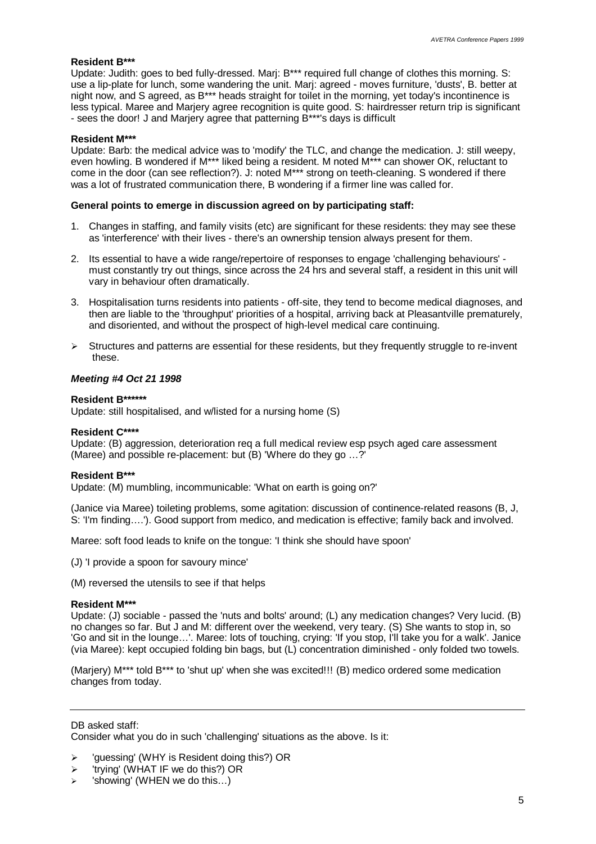#### **Resident B\*\*\***

Update: Judith: goes to bed fully-dressed. Mari: B<sup>\*\*\*</sup> required full change of clothes this morning. S: use a lip-plate for lunch, some wandering the unit. Marj: agreed - moves furniture, 'dusts', B. better at night now, and S agreed, as B\*\*\* heads straight for toilet in the morning, yet today's incontinence is less typical. Maree and Marjery agree recognition is quite good. S: hairdresser return trip is significant - sees the door! J and Marjery agree that patterning B\*\*\*'s days is difficult

#### **Resident M\*\*\***

Update: Barb: the medical advice was to 'modify' the TLC, and change the medication. J: still weepy, even howling. B wondered if M\*\*\* liked being a resident. M noted M\*\*\* can shower OK, reluctant to come in the door (can see reflection?). J: noted M\*\*\* strong on teeth-cleaning. S wondered if there was a lot of frustrated communication there, B wondering if a firmer line was called for.

#### **General points to emerge in discussion agreed on by participating staff:**

- 1. Changes in staffing, and family visits (etc) are significant for these residents: they may see these as 'interference' with their lives - there's an ownership tension always present for them.
- 2. Its essential to have a wide range/repertoire of responses to engage 'challenging behaviours' must constantly try out things, since across the 24 hrs and several staff, a resident in this unit will vary in behaviour often dramatically.
- 3. Hospitalisation turns residents into patients off-site, they tend to become medical diagnoses, and then are liable to the 'throughput' priorities of a hospital, arriving back at Pleasantville prematurely, and disoriented, and without the prospect of high-level medical care continuing.
- $\triangleright$  Structures and patterns are essential for these residents, but they frequently struggle to re-invent these.

#### *Meeting #4 Oct 21 1998*

#### **Resident B\*\*\*\*\*\***

Update: still hospitalised, and w/listed for a nursing home (S)

#### **Resident C\*\*\*\***

Update: (B) aggression, deterioration req a full medical review esp psych aged care assessment (Maree) and possible re-placement: but (B) 'Where do they go … ?'

#### **Resident B\*\*\***

Update: (M) mumbling, incommunicable: 'What on earth is going on?'

(Janice via Maree) toileting problems, some agitation: discussion of continence-related reasons (B, J, S: 'I'm finding… .'). Good support from medico, and medication is effective; family back and involved.

Maree: soft food leads to knife on the tongue: 'I think she should have spoon'

- (J) 'I provide a spoon for savoury mince'
- (M) reversed the utensils to see if that helps

#### **Resident M\*\*\***

Update: (J) sociable - passed the 'nuts and bolts' around; (L) any medication changes? Very lucid. (B) no changes so far. But J and M: different over the weekend, very teary. (S) She wants to stop in, so 'Go and sit in the lounge… '. Maree: lots of touching, crying: 'If you stop, I'll take you for a walk'. Janice (via Maree): kept occupied folding bin bags, but (L) concentration diminished - only folded two towels.

(Marjery) M\*\*\* told B\*\*\* to 'shut up' when she was excited!!! (B) medico ordered some medication changes from today.

#### DB asked staff:

Consider what you do in such 'challenging' situations as the above. Is it:

- $\triangleright$  'guessing' (WHY is Resident doing this?) OR
- $\triangleright$  'trying' (WHAT IF we do this?) OR
- 'showing' (WHEN we do this...)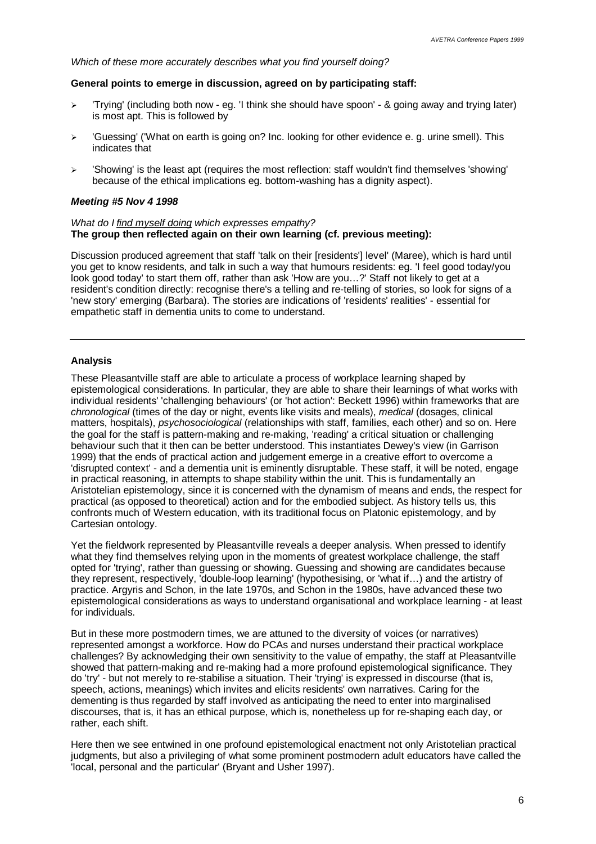*Which of these more accurately describes what you find yourself doing?*

#### **General points to emerge in discussion, agreed on by participating staff:**

- $\geq$  'Trying' (including both now eg. 'I think she should have spoon' & going away and trying later) is most apt. This is followed by
- $\triangleright$  'Guessing' ('What on earth is going on? Inc. looking for other evidence e. g. urine smell). This indicates that
- $\geq$  'Showing' is the least apt (requires the most reflection: staff wouldn't find themselves 'showing' because of the ethical implications eg. bottom-washing has a dignity aspect).

#### *Meeting #5 Nov 4 1998*

#### *What do I find myself doing which expresses empathy?* **The group then reflected again on their own learning (cf. previous meeting):**

Discussion produced agreement that staff 'talk on their [residents'] level' (Maree), which is hard until you get to know residents, and talk in such a way that humours residents: eg. 'I feel good today/you look good today' to start them off, rather than ask 'How are you… ?' Staff not likely to get at a resident's condition directly: recognise there's a telling and re-telling of stories, so look for signs of a 'new story' emerging (Barbara). The stories are indications of 'residents' realities' - essential for empathetic staff in dementia units to come to understand.

#### **Analysis**

These Pleasantville staff are able to articulate a process of workplace learning shaped by epistemological considerations. In particular, they are able to share their learnings of what works with individual residents' 'challenging behaviours' (or 'hot action': Beckett 1996) within frameworks that are *chronological* (times of the day or night, events like visits and meals), *medical* (dosages, clinical matters, hospitals), *psychosociological* (relationships with staff, families, each other) and so on. Here the goal for the staff is pattern-making and re-making, 'reading' a critical situation or challenging behaviour such that it then can be better understood. This instantiates Dewey's view (in Garrison 1999) that the ends of practical action and judgement emerge in a creative effort to overcome a 'disrupted context' - and a dementia unit is eminently disruptable. These staff, it will be noted, engage in practical reasoning, in attempts to shape stability within the unit. This is fundamentally an Aristotelian epistemology, since it is concerned with the dynamism of means and ends, the respect for practical (as opposed to theoretical) action and for the embodied subject. As history tells us, this confronts much of Western education, with its traditional focus on Platonic epistemology, and by Cartesian ontology.

Yet the fieldwork represented by Pleasantville reveals a deeper analysis. When pressed to identify what they find themselves relying upon in the moments of greatest workplace challenge, the staff opted for 'trying', rather than guessing or showing. Guessing and showing are candidates because they represent, respectively, 'double-loop learning' (hypothesising, or 'what if… ) and the artistry of practice. Argyris and Schon, in the late 1970s, and Schon in the 1980s, have advanced these two epistemological considerations as ways to understand organisational and workplace learning - at least for individuals.

But in these more postmodern times, we are attuned to the diversity of voices (or narratives) represented amongst a workforce. How do PCAs and nurses understand their practical workplace challenges? By acknowledging their own sensitivity to the value of empathy, the staff at Pleasantville showed that pattern-making and re-making had a more profound epistemological significance. They do 'try' - but not merely to re-stabilise a situation. Their 'trying' is expressed in discourse (that is, speech, actions, meanings) which invites and elicits residents' own narratives. Caring for the dementing is thus regarded by staff involved as anticipating the need to enter into marginalised discourses, that is, it has an ethical purpose, which is, nonetheless up for re-shaping each day, or rather, each shift.

Here then we see entwined in one profound epistemological enactment not only Aristotelian practical judgments, but also a privileging of what some prominent postmodern adult educators have called the 'local, personal and the particular' (Bryant and Usher 1997).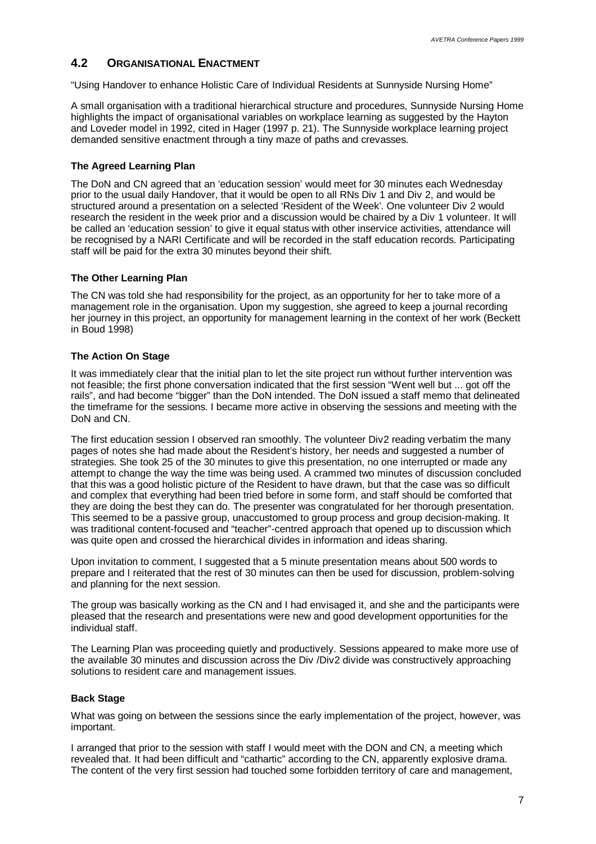## **4.2 ORGANISATIONAL ENACTMENT**

"Using Handover to enhance Holistic Care of Individual Residents at Sunnyside Nursing Home"

A small organisation with a traditional hierarchical structure and procedures, Sunnyside Nursing Home highlights the impact of organisational variables on workplace learning as suggested by the Hayton and Loveder model in 1992, cited in Hager (1997 p. 21). The Sunnyside workplace learning project demanded sensitive enactment through a tiny maze of paths and crevasses.

## **The Agreed Learning Plan**

The DoN and CN agreed that an 'education session' would meet for 30 minutes each Wednesday prior to the usual daily Handover, that it would be open to all RNs Div 1 and Div 2, and would be structured around a presentation on a selected 'Resident of the Week'. One volunteer Div 2 would research the resident in the week prior and a discussion would be chaired by a Div 1 volunteer. It will be called an 'education session' to give it equal status with other inservice activities, attendance will be recognised by a NARI Certificate and will be recorded in the staff education records. Participating staff will be paid for the extra 30 minutes beyond their shift.

## **The Other Learning Plan**

The CN was told she had responsibility for the project, as an opportunity for her to take more of a management role in the organisation. Upon my suggestion, she agreed to keep a journal recording her journey in this project, an opportunity for management learning in the context of her work (Beckett in Boud 1998)

## **The Action On Stage**

It was immediately clear that the initial plan to let the site project run without further intervention was not feasible; the first phone conversation indicated that the first session "Went well but ... got off the rails", and had become "bigger" than the DoN intended. The DoN issued a staff memo that delineated the timeframe for the sessions. I became more active in observing the sessions and meeting with the DoN and CN.

The first education session I observed ran smoothly. The volunteer Div2 reading verbatim the many pages of notes she had made about the Resident's history, her needs and suggested a number of strategies. She took 25 of the 30 minutes to give this presentation, no one interrupted or made any attempt to change the way the time was being used. A crammed two minutes of discussion concluded that this was a good holistic picture of the Resident to have drawn, but that the case was so difficult and complex that everything had been tried before in some form, and staff should be comforted that they are doing the best they can do. The presenter was congratulated for her thorough presentation. This seemed to be a passive group, unaccustomed to group process and group decision-making. It was traditional content-focused and "teacher"-centred approach that opened up to discussion which was quite open and crossed the hierarchical divides in information and ideas sharing.

Upon invitation to comment, I suggested that a 5 minute presentation means about 500 words to prepare and I reiterated that the rest of 30 minutes can then be used for discussion, problem-solving and planning for the next session.

The group was basically working as the CN and I had envisaged it, and she and the participants were pleased that the research and presentations were new and good development opportunities for the individual staff.

The Learning Plan was proceeding quietly and productively. Sessions appeared to make more use of the available 30 minutes and discussion across the Div /Div2 divide was constructively approaching solutions to resident care and management issues.

### **Back Stage**

What was going on between the sessions since the early implementation of the project, however, was important.

I arranged that prior to the session with staff I would meet with the DON and CN, a meeting which revealed that. It had been difficult and "cathartic" according to the CN, apparently explosive drama. The content of the very first session had touched some forbidden territory of care and management,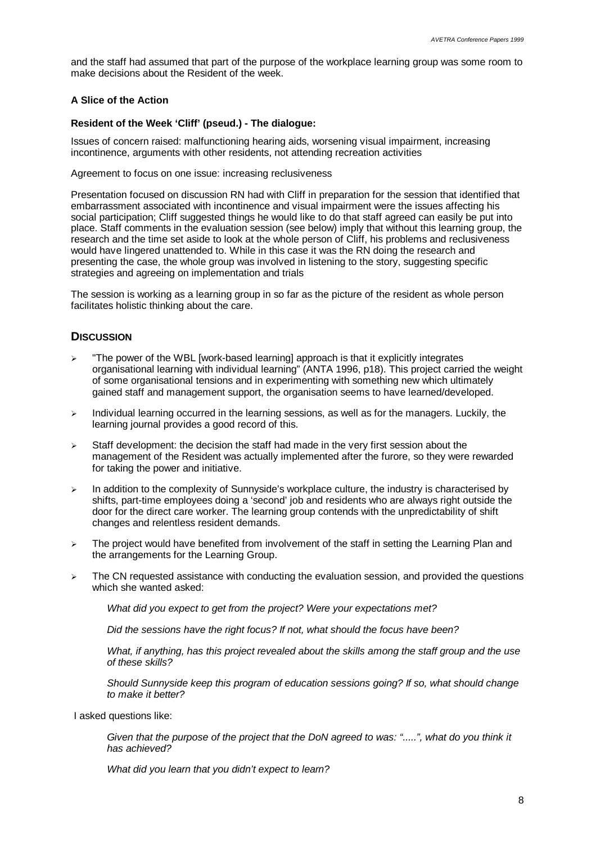and the staff had assumed that part of the purpose of the workplace learning group was some room to make decisions about the Resident of the week.

### **A Slice of the Action**

### **Resident of the Week 'Cliff' (pseud.) - The dialogue:**

Issues of concern raised: malfunctioning hearing aids, worsening visual impairment, increasing incontinence, arguments with other residents, not attending recreation activities

Agreement to focus on one issue: increasing reclusiveness

Presentation focused on discussion RN had with Cliff in preparation for the session that identified that embarrassment associated with incontinence and visual impairment were the issues affecting his social participation; Cliff suggested things he would like to do that staff agreed can easily be put into place. Staff comments in the evaluation session (see below) imply that without this learning group, the research and the time set aside to look at the whole person of Cliff, his problems and reclusiveness would have lingered unattended to. While in this case it was the RN doing the research and presenting the case, the whole group was involved in listening to the story, suggesting specific strategies and agreeing on implementation and trials

The session is working as a learning group in so far as the picture of the resident as whole person facilitates holistic thinking about the care.

## **DISCUSSION**

- "The power of the WBL [work-based learning] approach is that it explicitly integrates organisational learning with individual learning" (ANTA 1996, p18). This project carried the weight of some organisational tensions and in experimenting with something new which ultimately gained staff and management support, the organisation seems to have learned/developed.
- $\triangleright$  Individual learning occurred in the learning sessions, as well as for the managers. Luckily, the learning journal provides a good record of this.
- $\geq$  Staff development: the decision the staff had made in the very first session about the management of the Resident was actually implemented after the furore, so they were rewarded for taking the power and initiative.
- $\geq$  In addition to the complexity of Sunnyside's workplace culture, the industry is characterised by shifts, part-time employees doing a 'second' job and residents who are always right outside the door for the direct care worker. The learning group contends with the unpredictability of shift changes and relentless resident demands.
- $\geq$  The project would have benefited from involvement of the staff in setting the Learning Plan and the arrangements for the Learning Group.
- $\triangleright$  The CN requested assistance with conducting the evaluation session, and provided the questions which she wanted asked:

*What did you expect to get from the project? Were your expectations met?*

*Did the sessions have the right focus? If not, what should the focus have been?*

*What, if anything, has this project revealed about the skills among the staff group and the use of these skills?*

*Should Sunnyside keep this program of education sessions going? If so, what should change to make it better?*

I asked questions like:

*Given that the purpose of the project that the DoN agreed to was: ".....", what do you think it has achieved?*

*What did you learn that you didn't expect to learn?*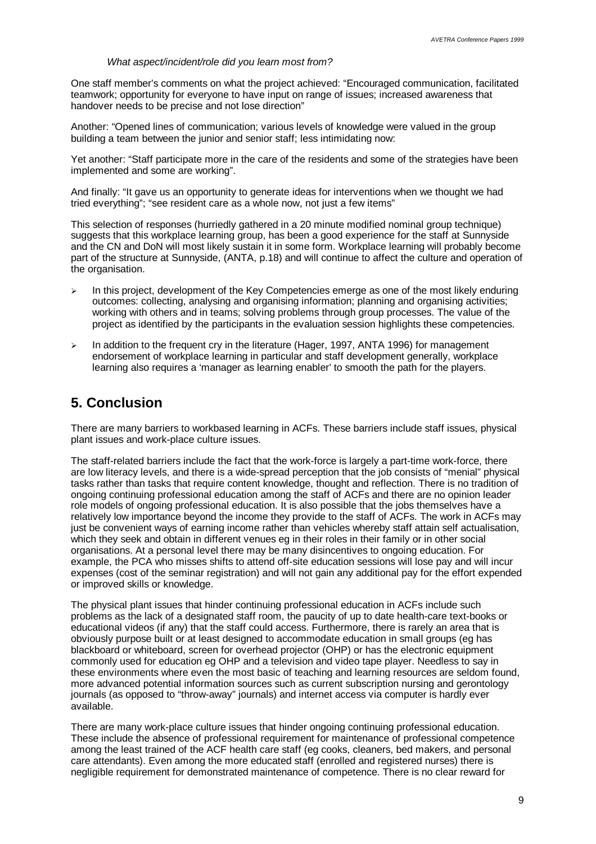#### *What aspect/incident/role did you learn most from?*

One staff member's comments on what the project achieved: "Encouraged communication, facilitated teamwork; opportunity for everyone to have input on range of issues; increased awareness that handover needs to be precise and not lose direction"

Another: "Opened lines of communication; various levels of knowledge were valued in the group building a team between the junior and senior staff; less intimidating now:

Yet another: "Staff participate more in the care of the residents and some of the strategies have been implemented and some are working".

And finally: "It gave us an opportunity to generate ideas for interventions when we thought we had tried everything"; "see resident care as a whole now, not just a few items"

This selection of responses (hurriedly gathered in a 20 minute modified nominal group technique) suggests that this workplace learning group, has been a good experience for the staff at Sunnyside and the CN and DoN will most likely sustain it in some form. Workplace learning will probably become part of the structure at Sunnyside, (ANTA, p.18) and will continue to affect the culture and operation of the organisation.

- In this project, development of the Key Competencies emerge as one of the most likely enduring outcomes: collecting, analysing and organising information; planning and organising activities; working with others and in teams; solving problems through group processes. The value of the project as identified by the participants in the evaluation session highlights these competencies.
- $\triangleright$  In addition to the frequent cry in the literature (Hager, 1997, ANTA 1996) for management endorsement of workplace learning in particular and staff development generally, workplace learning also requires a 'manager as learning enabler' to smooth the path for the players.

## **5. Conclusion**

There are many barriers to workbased learning in ACFs. These barriers include staff issues, physical plant issues and work-place culture issues.

The staff-related barriers include the fact that the work-force is largely a part-time work-force, there are low literacy levels, and there is a wide-spread perception that the job consists of "menial" physical tasks rather than tasks that require content knowledge, thought and reflection. There is no tradition of ongoing continuing professional education among the staff of ACFs and there are no opinion leader role models of ongoing professional education. It is also possible that the jobs themselves have a relatively low importance beyond the income they provide to the staff of ACFs. The work in ACFs may just be convenient ways of earning income rather than vehicles whereby staff attain self actualisation, which they seek and obtain in different venues eg in their roles in their family or in other social organisations. At a personal level there may be many disincentives to ongoing education. For example, the PCA who misses shifts to attend off-site education sessions will lose pay and will incur expenses (cost of the seminar registration) and will not gain any additional pay for the effort expended or improved skills or knowledge.

The physical plant issues that hinder continuing professional education in ACFs include such problems as the lack of a designated staff room, the paucity of up to date health-care text-books or educational videos (if any) that the staff could access. Furthermore, there is rarely an area that is obviously purpose built or at least designed to accommodate education in small groups (eg has blackboard or whiteboard, screen for overhead projector (OHP) or has the electronic equipment commonly used for education eg OHP and a television and video tape player. Needless to say in these environments where even the most basic of teaching and learning resources are seldom found, more advanced potential information sources such as current subscription nursing and gerontology journals (as opposed to "throw-away" journals) and internet access via computer is hardly ever available.

There are many work-place culture issues that hinder ongoing continuing professional education. These include the absence of professional requirement for maintenance of professional competence among the least trained of the ACF health care staff (eg cooks, cleaners, bed makers, and personal care attendants). Even among the more educated staff (enrolled and registered nurses) there is negligible requirement for demonstrated maintenance of competence. There is no clear reward for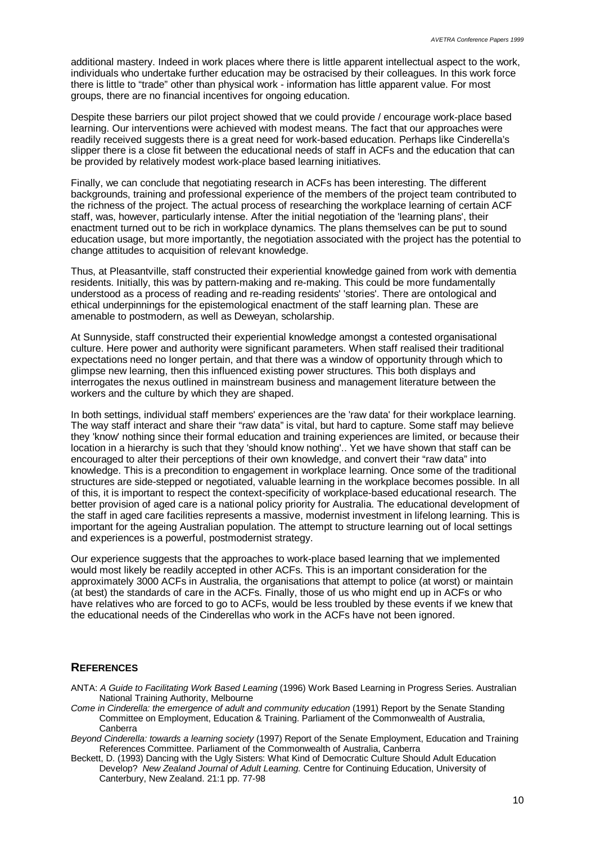additional mastery. Indeed in work places where there is little apparent intellectual aspect to the work, individuals who undertake further education may be ostracised by their colleagues. In this work force there is little to "trade" other than physical work - information has little apparent value. For most groups, there are no financial incentives for ongoing education.

Despite these barriers our pilot project showed that we could provide / encourage work-place based learning. Our interventions were achieved with modest means. The fact that our approaches were readily received suggests there is a great need for work-based education. Perhaps like Cinderella's slipper there is a close fit between the educational needs of staff in ACFs and the education that can be provided by relatively modest work-place based learning initiatives.

Finally, we can conclude that negotiating research in ACFs has been interesting. The different backgrounds, training and professional experience of the members of the project team contributed to the richness of the project. The actual process of researching the workplace learning of certain ACF staff, was, however, particularly intense. After the initial negotiation of the 'learning plans', their enactment turned out to be rich in workplace dynamics. The plans themselves can be put to sound education usage, but more importantly, the negotiation associated with the project has the potential to change attitudes to acquisition of relevant knowledge.

Thus, at Pleasantville, staff constructed their experiential knowledge gained from work with dementia residents. Initially, this was by pattern-making and re-making. This could be more fundamentally understood as a process of reading and re-reading residents' 'stories'. There are ontological and ethical underpinnings for the epistemological enactment of the staff learning plan. These are amenable to postmodern, as well as Deweyan, scholarship.

At Sunnyside, staff constructed their experiential knowledge amongst a contested organisational culture. Here power and authority were significant parameters. When staff realised their traditional expectations need no longer pertain, and that there was a window of opportunity through which to glimpse new learning, then this influenced existing power structures. This both displays and interrogates the nexus outlined in mainstream business and management literature between the workers and the culture by which they are shaped.

In both settings, individual staff members' experiences are the 'raw data' for their workplace learning. The way staff interact and share their "raw data" is vital, but hard to capture. Some staff may believe they 'know' nothing since their formal education and training experiences are limited, or because their location in a hierarchy is such that they 'should know nothing'.. Yet we have shown that staff can be encouraged to alter their perceptions of their own knowledge, and convert their "raw data" into knowledge. This is a precondition to engagement in workplace learning. Once some of the traditional structures are side-stepped or negotiated, valuable learning in the workplace becomes possible. In all of this, it is important to respect the context-specificity of workplace-based educational research. The better provision of aged care is a national policy priority for Australia. The educational development of the staff in aged care facilities represents a massive, modernist investment in lifelong learning. This is important for the ageing Australian population. The attempt to structure learning out of local settings and experiences is a powerful, postmodernist strategy.

Our experience suggests that the approaches to work-place based learning that we implemented would most likely be readily accepted in other ACFs. This is an important consideration for the approximately 3000 ACFs in Australia, the organisations that attempt to police (at worst) or maintain (at best) the standards of care in the ACFs. Finally, those of us who might end up in ACFs or who have relatives who are forced to go to ACFs, would be less troubled by these events if we knew that the educational needs of the Cinderellas who work in the ACFs have not been ignored.

### **REFERENCES**

- ANTA: *A Guide to Facilitating Work Based Learning* (1996) Work Based Learning in Progress Series. Australian National Training Authority, Melbourne
- *Come in Cinderella: the emergence of adult and community education* (1991) Report by the Senate Standing Committee on Employment, Education & Training. Parliament of the Commonwealth of Australia, Canberra
- *Beyond Cinderella: towards a learning society* (1997) Report of the Senate Employment, Education and Training References Committee. Parliament of the Commonwealth of Australia, Canberra
- Beckett, D. (1993) Dancing with the Ugly Sisters: What Kind of Democratic Culture Should Adult Education Develop? *New Zealand Journal of Adult Learning.* Centre for Continuing Education, University of Canterbury, New Zealand. 21:1 pp. 77-98